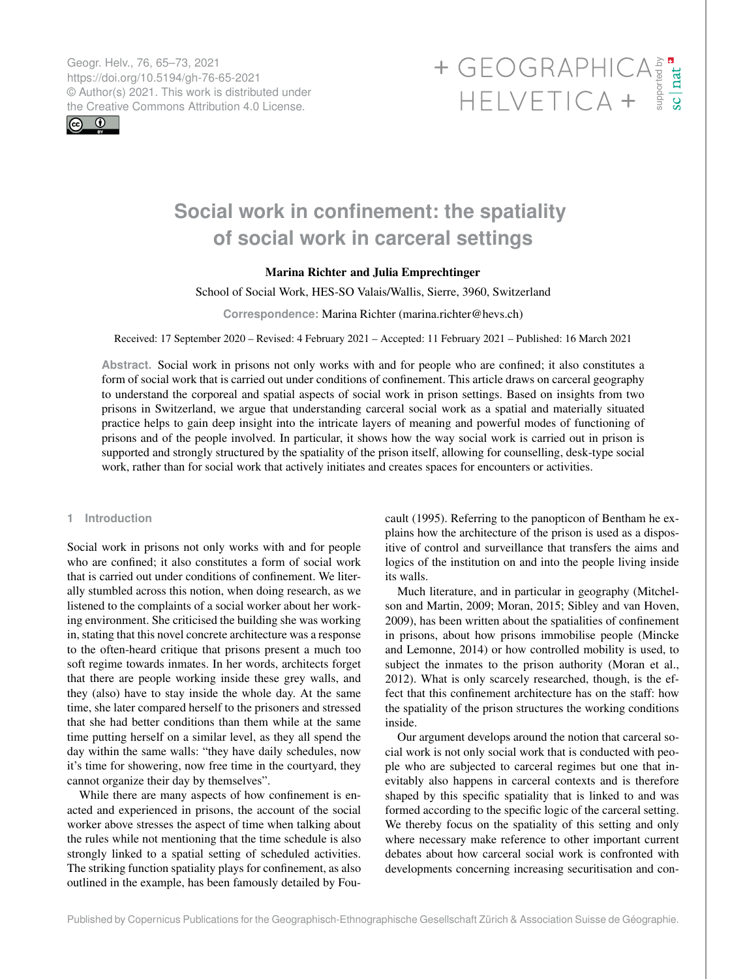Geogr. Helv., 76, 65–73, 2021 https://doi.org/10.5194/gh-76-65-2021 © Author(s) 2021. This work is distributed under



# Geogr. Helv., 76, 65–73, 2021<br>https://doi.org/10.5194/gh-76-65-2021<br>
© Author(s) 2021. This work is distributed under<br>
the Creative Commons Attribution 4.0 License.<br>
HELVETICA +

# **Social work in confinement: the spatiality of social work in carceral settings**

# Marina Richter and Julia Emprechtinger

School of Social Work, HES-SO Valais/Wallis, Sierre, 3960, Switzerland

**Correspondence:** Marina Richter (marina.richter@hevs.ch)

Received: 17 September 2020 – Revised: 4 February 2021 – Accepted: 11 February 2021 – Published: 16 March 2021

**Abstract.** Social work in prisons not only works with and for people who are confined; it also constitutes a form of social work that is carried out under conditions of confinement. This article draws on carceral geography to understand the corporeal and spatial aspects of social work in prison settings. Based on insights from two prisons in Switzerland, we argue that understanding carceral social work as a spatial and materially situated practice helps to gain deep insight into the intricate layers of meaning and powerful modes of functioning of prisons and of the people involved. In particular, it shows how the way social work is carried out in prison is supported and strongly structured by the spatiality of the prison itself, allowing for counselling, desk-type social work, rather than for social work that actively initiates and creates spaces for encounters or activities.

### **1 Introduction**

Social work in prisons not only works with and for people who are confined; it also constitutes a form of social work that is carried out under conditions of confinement. We literally stumbled across this notion, when doing research, as we listened to the complaints of a social worker about her working environment. She criticised the building she was working in, stating that this novel concrete architecture was a response to the often-heard critique that prisons present a much too soft regime towards inmates. In her words, architects forget that there are people working inside these grey walls, and they (also) have to stay inside the whole day. At the same time, she later compared herself to the prisoners and stressed that she had better conditions than them while at the same time putting herself on a similar level, as they all spend the day within the same walls: "they have daily schedules, now it's time for showering, now free time in the courtyard, they cannot organize their day by themselves".

While there are many aspects of how confinement is enacted and experienced in prisons, the account of the social worker above stresses the aspect of time when talking about the rules while not mentioning that the time schedule is also strongly linked to a spatial setting of scheduled activities. The striking function spatiality plays for confinement, as also outlined in the example, has been famously detailed by Foucault (1995). Referring to the panopticon of Bentham he explains how the architecture of the prison is used as a dispositive of control and surveillance that transfers the aims and logics of the institution on and into the people living inside its walls.

Much literature, and in particular in geography (Mitchelson and Martin, 2009; Moran, 2015; Sibley and van Hoven, 2009), has been written about the spatialities of confinement in prisons, about how prisons immobilise people (Mincke and Lemonne, 2014) or how controlled mobility is used, to subject the inmates to the prison authority (Moran et al., 2012). What is only scarcely researched, though, is the effect that this confinement architecture has on the staff: how the spatiality of the prison structures the working conditions inside.

Our argument develops around the notion that carceral social work is not only social work that is conducted with people who are subjected to carceral regimes but one that inevitably also happens in carceral contexts and is therefore shaped by this specific spatiality that is linked to and was formed according to the specific logic of the carceral setting. We thereby focus on the spatiality of this setting and only where necessary make reference to other important current debates about how carceral social work is confronted with developments concerning increasing securitisation and con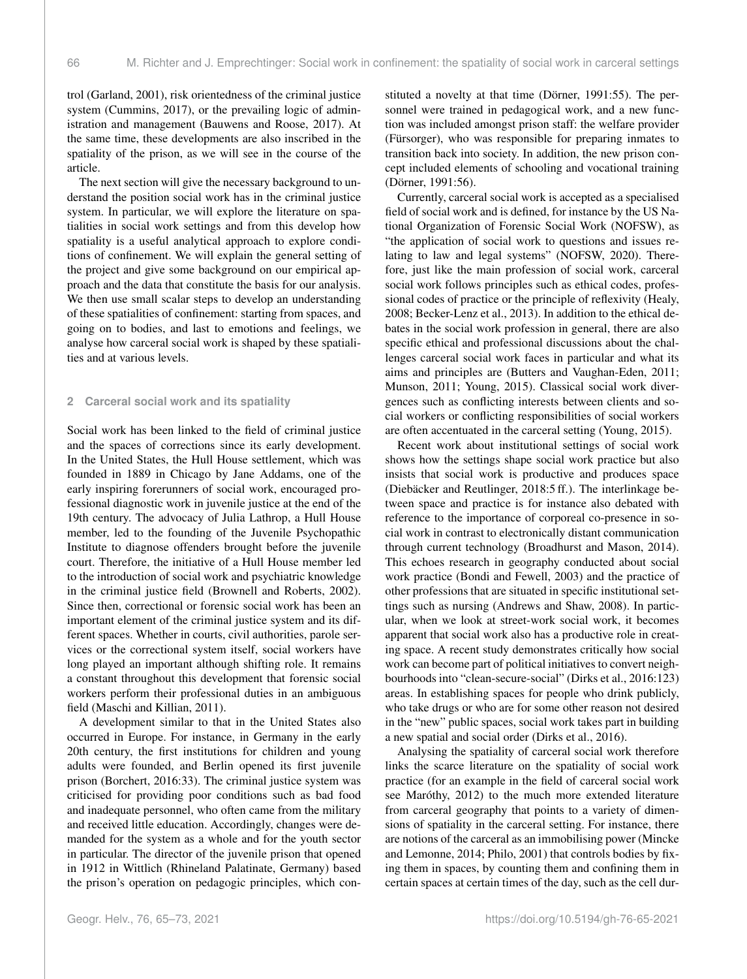trol (Garland, 2001), risk orientedness of the criminal justice system (Cummins, 2017), or the prevailing logic of administration and management (Bauwens and Roose, 2017). At the same time, these developments are also inscribed in the spatiality of the prison, as we will see in the course of the article.

The next section will give the necessary background to understand the position social work has in the criminal justice system. In particular, we will explore the literature on spatialities in social work settings and from this develop how spatiality is a useful analytical approach to explore conditions of confinement. We will explain the general setting of the project and give some background on our empirical approach and the data that constitute the basis for our analysis. We then use small scalar steps to develop an understanding of these spatialities of confinement: starting from spaces, and going on to bodies, and last to emotions and feelings, we analyse how carceral social work is shaped by these spatialities and at various levels.

#### **2 Carceral social work and its spatiality**

Social work has been linked to the field of criminal justice and the spaces of corrections since its early development. In the United States, the Hull House settlement, which was founded in 1889 in Chicago by Jane Addams, one of the early inspiring forerunners of social work, encouraged professional diagnostic work in juvenile justice at the end of the 19th century. The advocacy of Julia Lathrop, a Hull House member, led to the founding of the Juvenile Psychopathic Institute to diagnose offenders brought before the juvenile court. Therefore, the initiative of a Hull House member led to the introduction of social work and psychiatric knowledge in the criminal justice field (Brownell and Roberts, 2002). Since then, correctional or forensic social work has been an important element of the criminal justice system and its different spaces. Whether in courts, civil authorities, parole services or the correctional system itself, social workers have long played an important although shifting role. It remains a constant throughout this development that forensic social workers perform their professional duties in an ambiguous field (Maschi and Killian, 2011).

A development similar to that in the United States also occurred in Europe. For instance, in Germany in the early 20th century, the first institutions for children and young adults were founded, and Berlin opened its first juvenile prison (Borchert, 2016:33). The criminal justice system was criticised for providing poor conditions such as bad food and inadequate personnel, who often came from the military and received little education. Accordingly, changes were demanded for the system as a whole and for the youth sector in particular. The director of the juvenile prison that opened in 1912 in Wittlich (Rhineland Palatinate, Germany) based the prison's operation on pedagogic principles, which constituted a novelty at that time (Dörner, 1991:55). The personnel were trained in pedagogical work, and a new function was included amongst prison staff: the welfare provider (Fürsorger), who was responsible for preparing inmates to transition back into society. In addition, the new prison concept included elements of schooling and vocational training (Dörner, 1991:56).

Currently, carceral social work is accepted as a specialised field of social work and is defined, for instance by the US National Organization of Forensic Social Work (NOFSW), as "the application of social work to questions and issues relating to law and legal systems" (NOFSW, 2020). Therefore, just like the main profession of social work, carceral social work follows principles such as ethical codes, professional codes of practice or the principle of reflexivity (Healy, 2008; Becker-Lenz et al., 2013). In addition to the ethical debates in the social work profession in general, there are also specific ethical and professional discussions about the challenges carceral social work faces in particular and what its aims and principles are (Butters and Vaughan-Eden, 2011; Munson, 2011; Young, 2015). Classical social work divergences such as conflicting interests between clients and social workers or conflicting responsibilities of social workers are often accentuated in the carceral setting (Young, 2015).

Recent work about institutional settings of social work shows how the settings shape social work practice but also insists that social work is productive and produces space (Diebäcker and Reutlinger, 2018:5 ff.). The interlinkage between space and practice is for instance also debated with reference to the importance of corporeal co-presence in social work in contrast to electronically distant communication through current technology (Broadhurst and Mason, 2014). This echoes research in geography conducted about social work practice (Bondi and Fewell, 2003) and the practice of other professions that are situated in specific institutional settings such as nursing (Andrews and Shaw, 2008). In particular, when we look at street-work social work, it becomes apparent that social work also has a productive role in creating space. A recent study demonstrates critically how social work can become part of political initiatives to convert neighbourhoods into "clean-secure-social" (Dirks et al., 2016:123) areas. In establishing spaces for people who drink publicly, who take drugs or who are for some other reason not desired in the "new" public spaces, social work takes part in building a new spatial and social order (Dirks et al., 2016).

Analysing the spatiality of carceral social work therefore links the scarce literature on the spatiality of social work practice (for an example in the field of carceral social work see Maróthy, 2012) to the much more extended literature from carceral geography that points to a variety of dimensions of spatiality in the carceral setting. For instance, there are notions of the carceral as an immobilising power (Mincke and Lemonne, 2014; Philo, 2001) that controls bodies by fixing them in spaces, by counting them and confining them in certain spaces at certain times of the day, such as the cell dur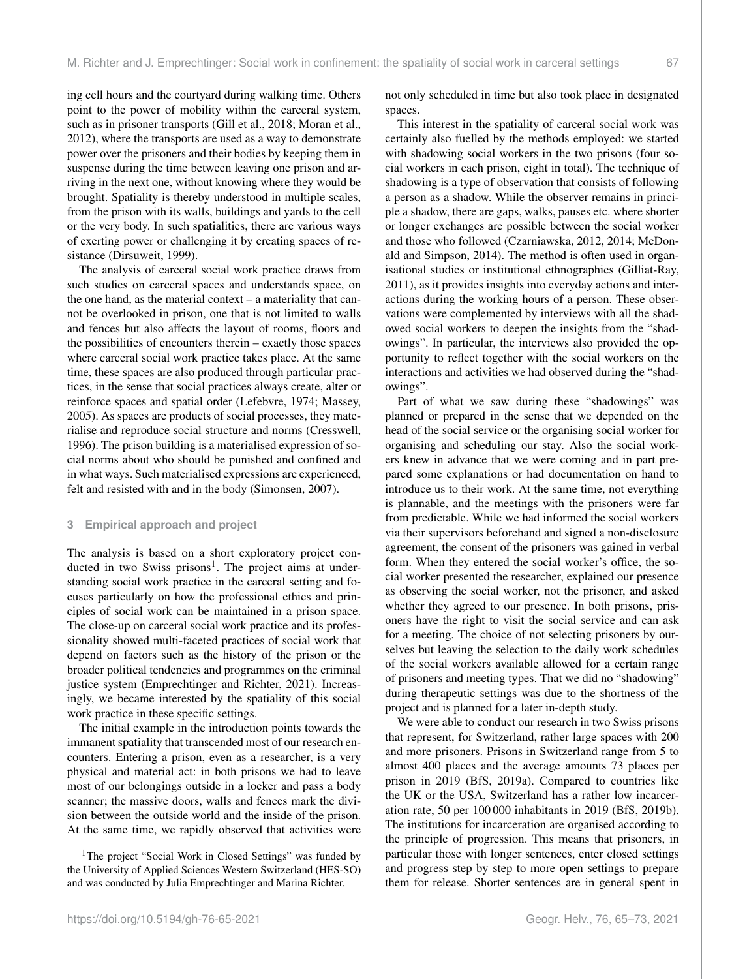ing cell hours and the courtyard during walking time. Others point to the power of mobility within the carceral system, such as in prisoner transports (Gill et al., 2018; Moran et al., 2012), where the transports are used as a way to demonstrate power over the prisoners and their bodies by keeping them in suspense during the time between leaving one prison and arriving in the next one, without knowing where they would be brought. Spatiality is thereby understood in multiple scales, from the prison with its walls, buildings and yards to the cell or the very body. In such spatialities, there are various ways of exerting power or challenging it by creating spaces of resistance (Dirsuweit, 1999).

The analysis of carceral social work practice draws from such studies on carceral spaces and understands space, on the one hand, as the material context – a materiality that cannot be overlooked in prison, one that is not limited to walls and fences but also affects the layout of rooms, floors and the possibilities of encounters therein – exactly those spaces where carceral social work practice takes place. At the same time, these spaces are also produced through particular practices, in the sense that social practices always create, alter or reinforce spaces and spatial order (Lefebvre, 1974; Massey, 2005). As spaces are products of social processes, they materialise and reproduce social structure and norms (Cresswell, 1996). The prison building is a materialised expression of social norms about who should be punished and confined and in what ways. Such materialised expressions are experienced, felt and resisted with and in the body (Simonsen, 2007).

#### **3 Empirical approach and project**

The analysis is based on a short exploratory project con-ducted in two Swiss prisons<sup>[1](#page-2-0)</sup>. The project aims at understanding social work practice in the carceral setting and focuses particularly on how the professional ethics and principles of social work can be maintained in a prison space. The close-up on carceral social work practice and its professionality showed multi-faceted practices of social work that depend on factors such as the history of the prison or the broader political tendencies and programmes on the criminal justice system (Emprechtinger and Richter, 2021). Increasingly, we became interested by the spatiality of this social work practice in these specific settings.

The initial example in the introduction points towards the immanent spatiality that transcended most of our research encounters. Entering a prison, even as a researcher, is a very physical and material act: in both prisons we had to leave most of our belongings outside in a locker and pass a body scanner; the massive doors, walls and fences mark the division between the outside world and the inside of the prison. At the same time, we rapidly observed that activities were not only scheduled in time but also took place in designated spaces.

This interest in the spatiality of carceral social work was certainly also fuelled by the methods employed: we started with shadowing social workers in the two prisons (four social workers in each prison, eight in total). The technique of shadowing is a type of observation that consists of following a person as a shadow. While the observer remains in principle a shadow, there are gaps, walks, pauses etc. where shorter or longer exchanges are possible between the social worker and those who followed (Czarniawska, 2012, 2014; McDonald and Simpson, 2014). The method is often used in organisational studies or institutional ethnographies (Gilliat-Ray, 2011), as it provides insights into everyday actions and interactions during the working hours of a person. These observations were complemented by interviews with all the shadowed social workers to deepen the insights from the "shadowings". In particular, the interviews also provided the opportunity to reflect together with the social workers on the interactions and activities we had observed during the "shadowings".

Part of what we saw during these "shadowings" was planned or prepared in the sense that we depended on the head of the social service or the organising social worker for organising and scheduling our stay. Also the social workers knew in advance that we were coming and in part prepared some explanations or had documentation on hand to introduce us to their work. At the same time, not everything is plannable, and the meetings with the prisoners were far from predictable. While we had informed the social workers via their supervisors beforehand and signed a non-disclosure agreement, the consent of the prisoners was gained in verbal form. When they entered the social worker's office, the social worker presented the researcher, explained our presence as observing the social worker, not the prisoner, and asked whether they agreed to our presence. In both prisons, prisoners have the right to visit the social service and can ask for a meeting. The choice of not selecting prisoners by ourselves but leaving the selection to the daily work schedules of the social workers available allowed for a certain range of prisoners and meeting types. That we did no "shadowing" during therapeutic settings was due to the shortness of the project and is planned for a later in-depth study.

We were able to conduct our research in two Swiss prisons that represent, for Switzerland, rather large spaces with 200 and more prisoners. Prisons in Switzerland range from 5 to almost 400 places and the average amounts 73 places per prison in 2019 (BfS, 2019a). Compared to countries like the UK or the USA, Switzerland has a rather low incarceration rate, 50 per 100 000 inhabitants in 2019 (BfS, 2019b). The institutions for incarceration are organised according to the principle of progression. This means that prisoners, in particular those with longer sentences, enter closed settings and progress step by step to more open settings to prepare them for release. Shorter sentences are in general spent in

<span id="page-2-0"></span><sup>&</sup>lt;sup>1</sup>The project "Social Work in Closed Settings" was funded by the University of Applied Sciences Western Switzerland (HES-SO) and was conducted by Julia Emprechtinger and Marina Richter.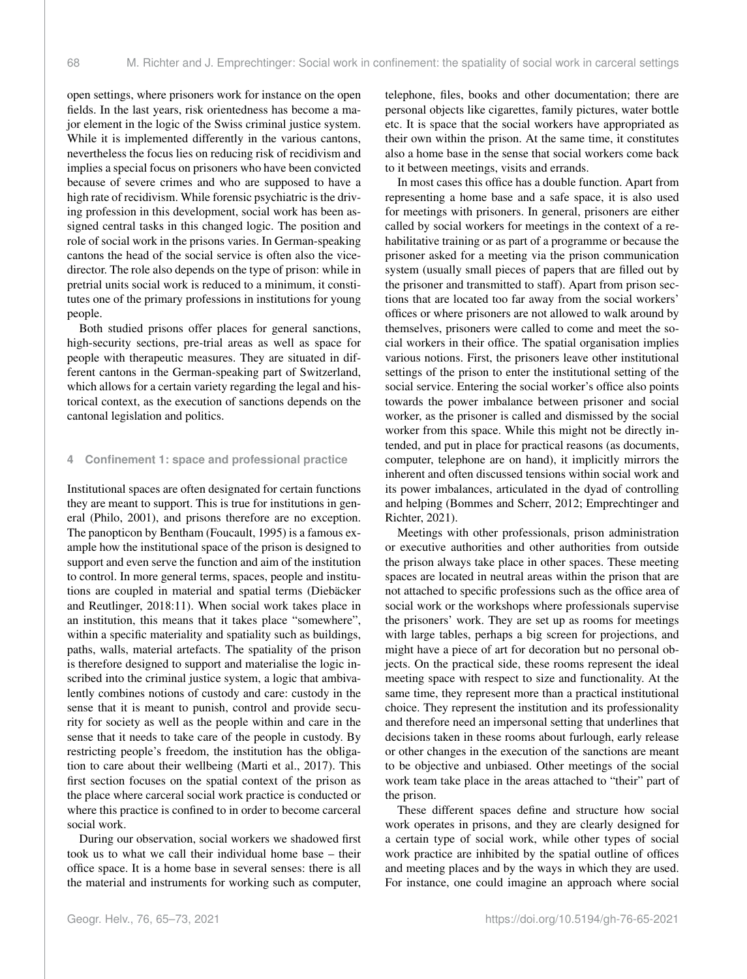open settings, where prisoners work for instance on the open fields. In the last years, risk orientedness has become a major element in the logic of the Swiss criminal justice system. While it is implemented differently in the various cantons, nevertheless the focus lies on reducing risk of recidivism and implies a special focus on prisoners who have been convicted because of severe crimes and who are supposed to have a high rate of recidivism. While forensic psychiatric is the driving profession in this development, social work has been assigned central tasks in this changed logic. The position and role of social work in the prisons varies. In German-speaking cantons the head of the social service is often also the vicedirector. The role also depends on the type of prison: while in pretrial units social work is reduced to a minimum, it constitutes one of the primary professions in institutions for young people.

Both studied prisons offer places for general sanctions, high-security sections, pre-trial areas as well as space for people with therapeutic measures. They are situated in different cantons in the German-speaking part of Switzerland, which allows for a certain variety regarding the legal and historical context, as the execution of sanctions depends on the cantonal legislation and politics.

#### **4 Confinement 1: space and professional practice**

Institutional spaces are often designated for certain functions they are meant to support. This is true for institutions in general (Philo, 2001), and prisons therefore are no exception. The panopticon by Bentham (Foucault, 1995) is a famous example how the institutional space of the prison is designed to support and even serve the function and aim of the institution to control. In more general terms, spaces, people and institutions are coupled in material and spatial terms (Diebäcker and Reutlinger, 2018:11). When social work takes place in an institution, this means that it takes place "somewhere", within a specific materiality and spatiality such as buildings, paths, walls, material artefacts. The spatiality of the prison is therefore designed to support and materialise the logic inscribed into the criminal justice system, a logic that ambivalently combines notions of custody and care: custody in the sense that it is meant to punish, control and provide security for society as well as the people within and care in the sense that it needs to take care of the people in custody. By restricting people's freedom, the institution has the obligation to care about their wellbeing (Marti et al., 2017). This first section focuses on the spatial context of the prison as the place where carceral social work practice is conducted or where this practice is confined to in order to become carceral social work.

During our observation, social workers we shadowed first took us to what we call their individual home base – their office space. It is a home base in several senses: there is all the material and instruments for working such as computer, telephone, files, books and other documentation; there are personal objects like cigarettes, family pictures, water bottle etc. It is space that the social workers have appropriated as their own within the prison. At the same time, it constitutes also a home base in the sense that social workers come back to it between meetings, visits and errands.

In most cases this office has a double function. Apart from representing a home base and a safe space, it is also used for meetings with prisoners. In general, prisoners are either called by social workers for meetings in the context of a rehabilitative training or as part of a programme or because the prisoner asked for a meeting via the prison communication system (usually small pieces of papers that are filled out by the prisoner and transmitted to staff). Apart from prison sections that are located too far away from the social workers' offices or where prisoners are not allowed to walk around by themselves, prisoners were called to come and meet the social workers in their office. The spatial organisation implies various notions. First, the prisoners leave other institutional settings of the prison to enter the institutional setting of the social service. Entering the social worker's office also points towards the power imbalance between prisoner and social worker, as the prisoner is called and dismissed by the social worker from this space. While this might not be directly intended, and put in place for practical reasons (as documents, computer, telephone are on hand), it implicitly mirrors the inherent and often discussed tensions within social work and its power imbalances, articulated in the dyad of controlling and helping (Bommes and Scherr, 2012; Emprechtinger and Richter, 2021).

Meetings with other professionals, prison administration or executive authorities and other authorities from outside the prison always take place in other spaces. These meeting spaces are located in neutral areas within the prison that are not attached to specific professions such as the office area of social work or the workshops where professionals supervise the prisoners' work. They are set up as rooms for meetings with large tables, perhaps a big screen for projections, and might have a piece of art for decoration but no personal objects. On the practical side, these rooms represent the ideal meeting space with respect to size and functionality. At the same time, they represent more than a practical institutional choice. They represent the institution and its professionality and therefore need an impersonal setting that underlines that decisions taken in these rooms about furlough, early release or other changes in the execution of the sanctions are meant to be objective and unbiased. Other meetings of the social work team take place in the areas attached to "their" part of the prison.

These different spaces define and structure how social work operates in prisons, and they are clearly designed for a certain type of social work, while other types of social work practice are inhibited by the spatial outline of offices and meeting places and by the ways in which they are used. For instance, one could imagine an approach where social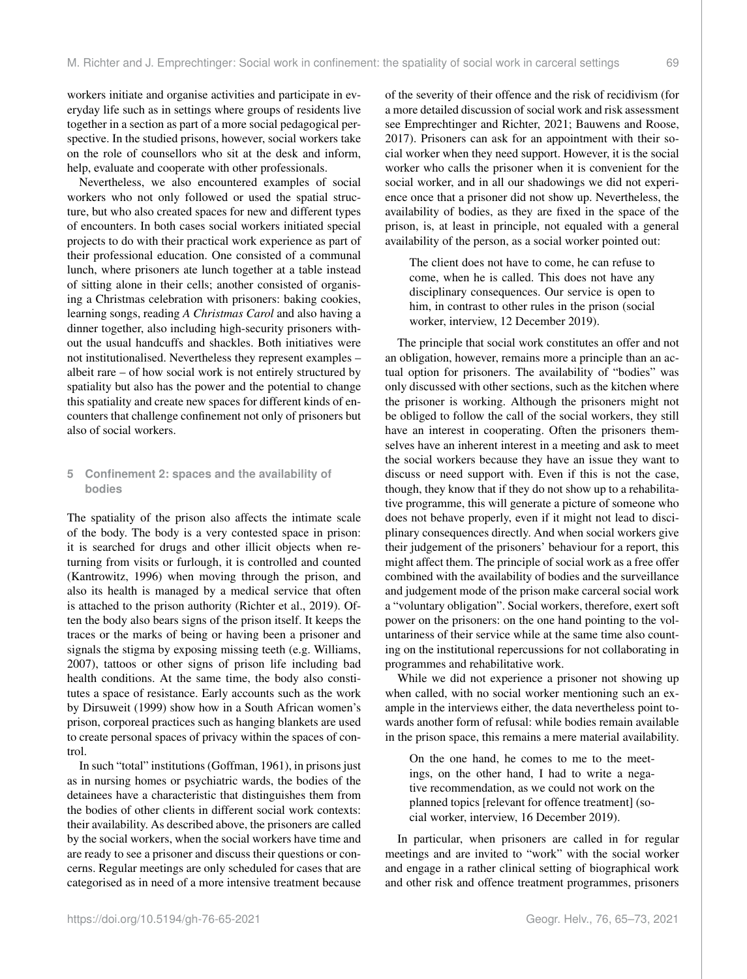workers initiate and organise activities and participate in everyday life such as in settings where groups of residents live together in a section as part of a more social pedagogical perspective. In the studied prisons, however, social workers take on the role of counsellors who sit at the desk and inform, help, evaluate and cooperate with other professionals.

Nevertheless, we also encountered examples of social workers who not only followed or used the spatial structure, but who also created spaces for new and different types of encounters. In both cases social workers initiated special projects to do with their practical work experience as part of their professional education. One consisted of a communal lunch, where prisoners ate lunch together at a table instead of sitting alone in their cells; another consisted of organising a Christmas celebration with prisoners: baking cookies, learning songs, reading *A Christmas Carol* and also having a dinner together, also including high-security prisoners without the usual handcuffs and shackles. Both initiatives were not institutionalised. Nevertheless they represent examples – albeit rare – of how social work is not entirely structured by spatiality but also has the power and the potential to change this spatiality and create new spaces for different kinds of encounters that challenge confinement not only of prisoners but also of social workers.

# **5 Confinement 2: spaces and the availability of bodies**

The spatiality of the prison also affects the intimate scale of the body. The body is a very contested space in prison: it is searched for drugs and other illicit objects when returning from visits or furlough, it is controlled and counted (Kantrowitz, 1996) when moving through the prison, and also its health is managed by a medical service that often is attached to the prison authority (Richter et al., 2019). Often the body also bears signs of the prison itself. It keeps the traces or the marks of being or having been a prisoner and signals the stigma by exposing missing teeth (e.g. Williams, 2007), tattoos or other signs of prison life including bad health conditions. At the same time, the body also constitutes a space of resistance. Early accounts such as the work by Dirsuweit (1999) show how in a South African women's prison, corporeal practices such as hanging blankets are used to create personal spaces of privacy within the spaces of control.

In such "total" institutions (Goffman, 1961), in prisons just as in nursing homes or psychiatric wards, the bodies of the detainees have a characteristic that distinguishes them from the bodies of other clients in different social work contexts: their availability. As described above, the prisoners are called by the social workers, when the social workers have time and are ready to see a prisoner and discuss their questions or concerns. Regular meetings are only scheduled for cases that are categorised as in need of a more intensive treatment because

of the severity of their offence and the risk of recidivism (for a more detailed discussion of social work and risk assessment see Emprechtinger and Richter, 2021; Bauwens and Roose, 2017). Prisoners can ask for an appointment with their social worker when they need support. However, it is the social worker who calls the prisoner when it is convenient for the social worker, and in all our shadowings we did not experience once that a prisoner did not show up. Nevertheless, the availability of bodies, as they are fixed in the space of the prison, is, at least in principle, not equaled with a general availability of the person, as a social worker pointed out:

The client does not have to come, he can refuse to come, when he is called. This does not have any disciplinary consequences. Our service is open to him, in contrast to other rules in the prison (social worker, interview, 12 December 2019).

The principle that social work constitutes an offer and not an obligation, however, remains more a principle than an actual option for prisoners. The availability of "bodies" was only discussed with other sections, such as the kitchen where the prisoner is working. Although the prisoners might not be obliged to follow the call of the social workers, they still have an interest in cooperating. Often the prisoners themselves have an inherent interest in a meeting and ask to meet the social workers because they have an issue they want to discuss or need support with. Even if this is not the case, though, they know that if they do not show up to a rehabilitative programme, this will generate a picture of someone who does not behave properly, even if it might not lead to disciplinary consequences directly. And when social workers give their judgement of the prisoners' behaviour for a report, this might affect them. The principle of social work as a free offer combined with the availability of bodies and the surveillance and judgement mode of the prison make carceral social work a "voluntary obligation". Social workers, therefore, exert soft power on the prisoners: on the one hand pointing to the voluntariness of their service while at the same time also counting on the institutional repercussions for not collaborating in programmes and rehabilitative work.

While we did not experience a prisoner not showing up when called, with no social worker mentioning such an example in the interviews either, the data nevertheless point towards another form of refusal: while bodies remain available in the prison space, this remains a mere material availability.

On the one hand, he comes to me to the meetings, on the other hand, I had to write a negative recommendation, as we could not work on the planned topics [relevant for offence treatment] (social worker, interview, 16 December 2019).

In particular, when prisoners are called in for regular meetings and are invited to "work" with the social worker and engage in a rather clinical setting of biographical work and other risk and offence treatment programmes, prisoners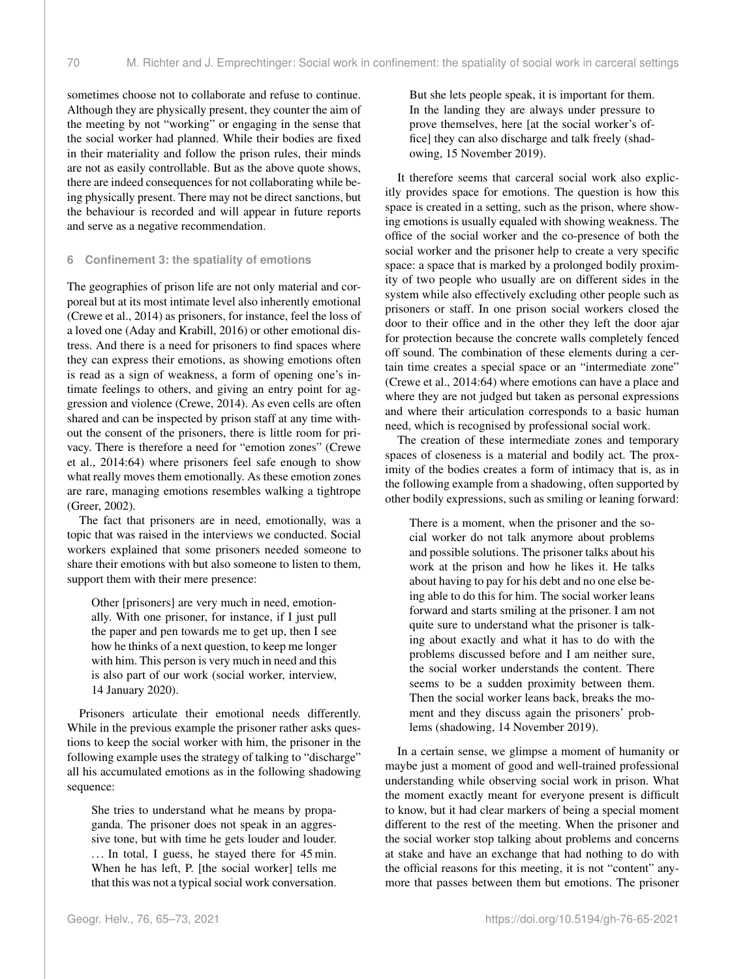sometimes choose not to collaborate and refuse to continue. Although they are physically present, they counter the aim of the meeting by not "working" or engaging in the sense that the social worker had planned. While their bodies are fixed in their materiality and follow the prison rules, their minds are not as easily controllable. But as the above quote shows, there are indeed consequences for not collaborating while being physically present. There may not be direct sanctions, but the behaviour is recorded and will appear in future reports and serve as a negative recommendation.

## **6 Confinement 3: the spatiality of emotions**

The geographies of prison life are not only material and corporeal but at its most intimate level also inherently emotional (Crewe et al., 2014) as prisoners, for instance, feel the loss of a loved one (Aday and Krabill, 2016) or other emotional distress. And there is a need for prisoners to find spaces where they can express their emotions, as showing emotions often is read as a sign of weakness, a form of opening one's intimate feelings to others, and giving an entry point for aggression and violence (Crewe, 2014). As even cells are often shared and can be inspected by prison staff at any time without the consent of the prisoners, there is little room for privacy. There is therefore a need for "emotion zones" (Crewe et al., 2014:64) where prisoners feel safe enough to show what really moves them emotionally. As these emotion zones are rare, managing emotions resembles walking a tightrope (Greer, 2002).

The fact that prisoners are in need, emotionally, was a topic that was raised in the interviews we conducted. Social workers explained that some prisoners needed someone to share their emotions with but also someone to listen to them, support them with their mere presence:

Other [prisoners] are very much in need, emotionally. With one prisoner, for instance, if I just pull the paper and pen towards me to get up, then I see how he thinks of a next question, to keep me longer with him. This person is very much in need and this is also part of our work (social worker, interview, 14 January 2020).

Prisoners articulate their emotional needs differently. While in the previous example the prisoner rather asks questions to keep the social worker with him, the prisoner in the following example uses the strategy of talking to "discharge" all his accumulated emotions as in the following shadowing sequence:

She tries to understand what he means by propaganda. The prisoner does not speak in an aggressive tone, but with time he gets louder and louder. ... In total, I guess, he stayed there for 45 min. When he has left, P. [the social worker] tells me that this was not a typical social work conversation.

But she lets people speak, it is important for them. In the landing they are always under pressure to prove themselves, here [at the social worker's office] they can also discharge and talk freely (shadowing, 15 November 2019).

It therefore seems that carceral social work also explicitly provides space for emotions. The question is how this space is created in a setting, such as the prison, where showing emotions is usually equaled with showing weakness. The office of the social worker and the co-presence of both the social worker and the prisoner help to create a very specific space: a space that is marked by a prolonged bodily proximity of two people who usually are on different sides in the system while also effectively excluding other people such as prisoners or staff. In one prison social workers closed the door to their office and in the other they left the door ajar for protection because the concrete walls completely fenced off sound. The combination of these elements during a certain time creates a special space or an "intermediate zone" (Crewe et al., 2014:64) where emotions can have a place and where they are not judged but taken as personal expressions and where their articulation corresponds to a basic human need, which is recognised by professional social work.

The creation of these intermediate zones and temporary spaces of closeness is a material and bodily act. The proximity of the bodies creates a form of intimacy that is, as in the following example from a shadowing, often supported by other bodily expressions, such as smiling or leaning forward:

There is a moment, when the prisoner and the social worker do not talk anymore about problems and possible solutions. The prisoner talks about his work at the prison and how he likes it. He talks about having to pay for his debt and no one else being able to do this for him. The social worker leans forward and starts smiling at the prisoner. I am not quite sure to understand what the prisoner is talking about exactly and what it has to do with the problems discussed before and I am neither sure, the social worker understands the content. There seems to be a sudden proximity between them. Then the social worker leans back, breaks the moment and they discuss again the prisoners' problems (shadowing, 14 November 2019).

In a certain sense, we glimpse a moment of humanity or maybe just a moment of good and well-trained professional understanding while observing social work in prison. What the moment exactly meant for everyone present is difficult to know, but it had clear markers of being a special moment different to the rest of the meeting. When the prisoner and the social worker stop talking about problems and concerns at stake and have an exchange that had nothing to do with the official reasons for this meeting, it is not "content" anymore that passes between them but emotions. The prisoner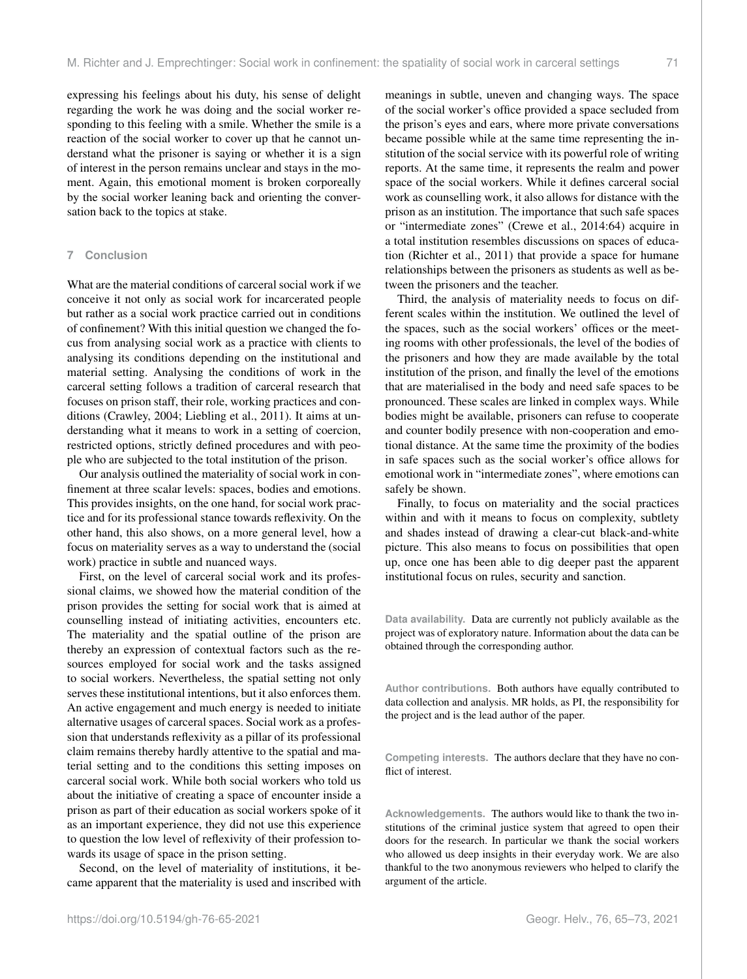expressing his feelings about his duty, his sense of delight regarding the work he was doing and the social worker responding to this feeling with a smile. Whether the smile is a reaction of the social worker to cover up that he cannot understand what the prisoner is saying or whether it is a sign of interest in the person remains unclear and stays in the moment. Again, this emotional moment is broken corporeally by the social worker leaning back and orienting the conversation back to the topics at stake.

#### **7 Conclusion**

What are the material conditions of carceral social work if we conceive it not only as social work for incarcerated people but rather as a social work practice carried out in conditions of confinement? With this initial question we changed the focus from analysing social work as a practice with clients to analysing its conditions depending on the institutional and material setting. Analysing the conditions of work in the carceral setting follows a tradition of carceral research that focuses on prison staff, their role, working practices and conditions (Crawley, 2004; Liebling et al., 2011). It aims at understanding what it means to work in a setting of coercion, restricted options, strictly defined procedures and with people who are subjected to the total institution of the prison.

Our analysis outlined the materiality of social work in confinement at three scalar levels: spaces, bodies and emotions. This provides insights, on the one hand, for social work practice and for its professional stance towards reflexivity. On the other hand, this also shows, on a more general level, how a focus on materiality serves as a way to understand the (social work) practice in subtle and nuanced ways.

First, on the level of carceral social work and its professional claims, we showed how the material condition of the prison provides the setting for social work that is aimed at counselling instead of initiating activities, encounters etc. The materiality and the spatial outline of the prison are thereby an expression of contextual factors such as the resources employed for social work and the tasks assigned to social workers. Nevertheless, the spatial setting not only serves these institutional intentions, but it also enforces them. An active engagement and much energy is needed to initiate alternative usages of carceral spaces. Social work as a profession that understands reflexivity as a pillar of its professional claim remains thereby hardly attentive to the spatial and material setting and to the conditions this setting imposes on carceral social work. While both social workers who told us about the initiative of creating a space of encounter inside a prison as part of their education as social workers spoke of it as an important experience, they did not use this experience to question the low level of reflexivity of their profession towards its usage of space in the prison setting.

Second, on the level of materiality of institutions, it became apparent that the materiality is used and inscribed with meanings in subtle, uneven and changing ways. The space of the social worker's office provided a space secluded from the prison's eyes and ears, where more private conversations became possible while at the same time representing the institution of the social service with its powerful role of writing reports. At the same time, it represents the realm and power space of the social workers. While it defines carceral social work as counselling work, it also allows for distance with the prison as an institution. The importance that such safe spaces or "intermediate zones" (Crewe et al., 2014:64) acquire in a total institution resembles discussions on spaces of education (Richter et al., 2011) that provide a space for humane relationships between the prisoners as students as well as between the prisoners and the teacher.

Third, the analysis of materiality needs to focus on different scales within the institution. We outlined the level of the spaces, such as the social workers' offices or the meeting rooms with other professionals, the level of the bodies of the prisoners and how they are made available by the total institution of the prison, and finally the level of the emotions that are materialised in the body and need safe spaces to be pronounced. These scales are linked in complex ways. While bodies might be available, prisoners can refuse to cooperate and counter bodily presence with non-cooperation and emotional distance. At the same time the proximity of the bodies in safe spaces such as the social worker's office allows for emotional work in "intermediate zones", where emotions can safely be shown.

Finally, to focus on materiality and the social practices within and with it means to focus on complexity, subtlety and shades instead of drawing a clear-cut black-and-white picture. This also means to focus on possibilities that open up, once one has been able to dig deeper past the apparent institutional focus on rules, security and sanction.

**Data availability.** Data are currently not publicly available as the project was of exploratory nature. Information about the data can be obtained through the corresponding author.

**Author contributions.** Both authors have equally contributed to data collection and analysis. MR holds, as PI, the responsibility for the project and is the lead author of the paper.

**Competing interests.** The authors declare that they have no conflict of interest.

**Acknowledgements.** The authors would like to thank the two institutions of the criminal justice system that agreed to open their doors for the research. In particular we thank the social workers who allowed us deep insights in their everyday work. We are also thankful to the two anonymous reviewers who helped to clarify the argument of the article.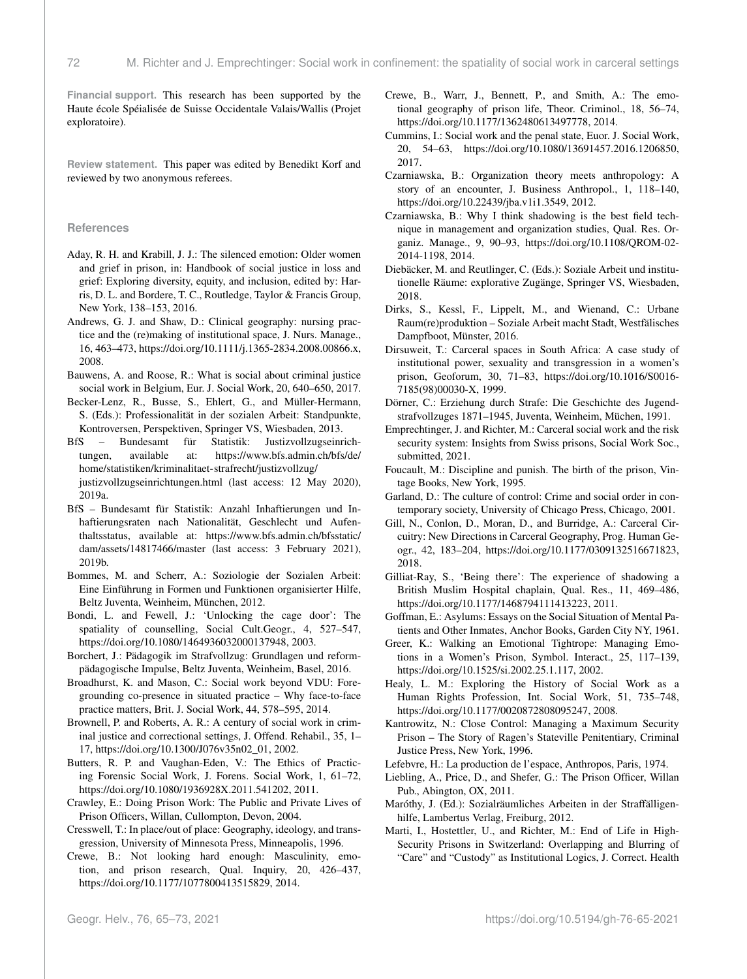**Financial support.** This research has been supported by the Haute école Spéialisée de Suisse Occidentale Valais/Wallis (Projet exploratoire).

**Review statement.** This paper was edited by Benedikt Korf and reviewed by two anonymous referees.

#### **References**

- Aday, R. H. and Krabill, J. J.: The silenced emotion: Older women and grief in prison, in: Handbook of social justice in loss and grief: Exploring diversity, equity, and inclusion, edited by: Harris, D. L. and Bordere, T. C., Routledge, Taylor & Francis Group, New York, 138–153, 2016.
- Andrews, G. J. and Shaw, D.: Clinical geography: nursing practice and the (re)making of institutional space, J. Nurs. Manage., 16, 463–473, https://doi.org[/10.1111/j.1365-2834.2008.00866.x,](https://doi.org/10.1111/j.1365-2834.2008.00866.x) 2008.
- Bauwens, A. and Roose, R.: What is social about criminal justice social work in Belgium, Eur. J. Social Work, 20, 640–650, 2017.
- Becker-Lenz, R., Busse, S., Ehlert, G., and Müller-Hermann, S. (Eds.): Professionalität in der sozialen Arbeit: Standpunkte, Kontroversen, Perspektiven, Springer VS, Wiesbaden, 2013.
- BfS Bundesamt für Statistik: Justizvollzugseinrichtungen, available at: [https://www.bfs.admin.ch/bfs/de/](https://www.bfs.admin.ch/bfs/de/home/statistiken/kriminalitaet-strafrecht/justizvollzug/justizvollzugseinrichtungen.html) [home/statistiken/kriminalitaet-strafrecht/justizvollzug/](https://www.bfs.admin.ch/bfs/de/home/statistiken/kriminalitaet-strafrecht/justizvollzug/justizvollzugseinrichtungen.html) [justizvollzugseinrichtungen.html](https://www.bfs.admin.ch/bfs/de/home/statistiken/kriminalitaet-strafrecht/justizvollzug/justizvollzugseinrichtungen.html) (last access: 12 May 2020), 2019a.
- BfS Bundesamt für Statistik: Anzahl Inhaftierungen und Inhaftierungsraten nach Nationalität, Geschlecht und Aufenthaltsstatus, available at: [https://www.bfs.admin.ch/bfsstatic/](https://www.bfs.admin.ch/bfsstatic/dam/assets/14817466/master) [dam/assets/14817466/master](https://www.bfs.admin.ch/bfsstatic/dam/assets/14817466/master) (last access: 3 February 2021), 2019b.
- Bommes, M. and Scherr, A.: Soziologie der Sozialen Arbeit: Eine Einführung in Formen und Funktionen organisierter Hilfe, Beltz Juventa, Weinheim, München, 2012.
- Bondi, L. and Fewell, J.: 'Unlocking the cage door': The spatiality of counselling, Social Cult.Geogr., 4, 527–547, https://doi.org[/10.1080/1464936032000137948,](https://doi.org/10.1080/1464936032000137948) 2003.
- Borchert, J.: Pädagogik im Strafvollzug: Grundlagen und reformpädagogische Impulse, Beltz Juventa, Weinheim, Basel, 2016.
- Broadhurst, K. and Mason, C.: Social work beyond VDU: Foregrounding co-presence in situated practice – Why face-to-face practice matters, Brit. J. Social Work, 44, 578–595, 2014.
- Brownell, P. and Roberts, A. R.: A century of social work in criminal justice and correctional settings, J. Offend. Rehabil., 35, 1– 17, https://doi.org[/10.1300/J076v35n02\\_01,](https://doi.org/10.1300/J076v35n02_01) 2002.
- Butters, R. P. and Vaughan-Eden, V.: The Ethics of Practicing Forensic Social Work, J. Forens. Social Work, 1, 61–72, https://doi.org[/10.1080/1936928X.2011.541202,](https://doi.org/10.1080/1936928X.2011.541202) 2011.
- Crawley, E.: Doing Prison Work: The Public and Private Lives of Prison Officers, Willan, Cullompton, Devon, 2004.
- Cresswell, T.: In place/out of place: Geography, ideology, and transgression, University of Minnesota Press, Minneapolis, 1996.
- Crewe, B.: Not looking hard enough: Masculinity, emotion, and prison research, Qual. Inquiry, 20, 426–437, https://doi.org[/10.1177/1077800413515829,](https://doi.org/10.1177/1077800413515829) 2014.
- Crewe, B., Warr, J., Bennett, P., and Smith, A.: The emotional geography of prison life, Theor. Criminol., 18, 56–74, https://doi.org[/10.1177/1362480613497778,](https://doi.org/10.1177/1362480613497778) 2014.
- Cummins, I.: Social work and the penal state, Euor. J. Social Work, 20, 54–63, https://doi.org[/10.1080/13691457.2016.1206850,](https://doi.org/10.1080/13691457.2016.1206850) 2017.
- Czarniawska, B.: Organization theory meets anthropology: A story of an encounter, J. Business Anthropol., 1, 118–140, https://doi.org[/10.22439/jba.v1i1.3549,](https://doi.org/10.22439/jba.v1i1.3549) 2012.
- Czarniawska, B.: Why I think shadowing is the best field technique in management and organization studies, Qual. Res. Organiz. Manage., 9, 90–93, https://doi.org[/10.1108/QROM-02-](https://doi.org/10.1108/QROM-02-2014-1198) [2014-1198,](https://doi.org/10.1108/QROM-02-2014-1198) 2014.
- Diebäcker, M. and Reutlinger, C. (Eds.): Soziale Arbeit und institutionelle Räume: explorative Zugänge, Springer VS, Wiesbaden, 2018.
- Dirks, S., Kessl, F., Lippelt, M., and Wienand, C.: Urbane Raum(re)produktion – Soziale Arbeit macht Stadt, Westfälisches Dampfboot, Münster, 2016.
- Dirsuweit, T.: Carceral spaces in South Africa: A case study of institutional power, sexuality and transgression in a women's prison, Geoforum, 30, 71–83, https://doi.org[/10.1016/S0016-](https://doi.org/10.1016/S0016-7185(98)00030-X) [7185\(98\)00030-X,](https://doi.org/10.1016/S0016-7185(98)00030-X) 1999.
- Dörner, C.: Erziehung durch Strafe: Die Geschichte des Jugendstrafvollzuges 1871–1945, Juventa, Weinheim, Müchen, 1991.
- Emprechtinger, J. and Richter, M.: Carceral social work and the risk security system: Insights from Swiss prisons, Social Work Soc., submitted, 2021.
- Foucault, M.: Discipline and punish. The birth of the prison, Vintage Books, New York, 1995.
- Garland, D.: The culture of control: Crime and social order in contemporary society, University of Chicago Press, Chicago, 2001.
- Gill, N., Conlon, D., Moran, D., and Burridge, A.: Carceral Circuitry: New Directions in Carceral Geography, Prog. Human Geogr., 42, 183–204, https://doi.org[/10.1177/0309132516671823,](https://doi.org/10.1177/0309132516671823) 2018.
- Gilliat-Ray, S., 'Being there': The experience of shadowing a British Muslim Hospital chaplain, Qual. Res., 11, 469–486, https://doi.org[/10.1177/1468794111413223,](https://doi.org/10.1177/1468794111413223) 2011.
- Goffman, E.: Asylums: Essays on the Social Situation of Mental Patients and Other Inmates, Anchor Books, Garden City NY, 1961.
- Greer, K.: Walking an Emotional Tightrope: Managing Emotions in a Women's Prison, Symbol. Interact., 25, 117–139, https://doi.org[/10.1525/si.2002.25.1.117,](https://doi.org/10.1525/si.2002.25.1.117) 2002.
- Healy, L. M.: Exploring the History of Social Work as a Human Rights Profession, Int. Social Work, 51, 735–748, https://doi.org[/10.1177/0020872808095247,](https://doi.org/10.1177/0020872808095247) 2008.
- Kantrowitz, N.: Close Control: Managing a Maximum Security Prison – The Story of Ragen's Stateville Penitentiary, Criminal Justice Press, New York, 1996.
- Lefebvre, H.: La production de l'espace, Anthropos, Paris, 1974.
- Liebling, A., Price, D., and Shefer, G.: The Prison Officer, Willan Pub., Abington, OX, 2011.
- Maróthy, J. (Ed.): Sozialräumliches Arbeiten in der Straffälligenhilfe, Lambertus Verlag, Freiburg, 2012.
- Marti, I., Hostettler, U., and Richter, M.: End of Life in High-Security Prisons in Switzerland: Overlapping and Blurring of "Care" and "Custody" as Institutional Logics, J. Correct. Health